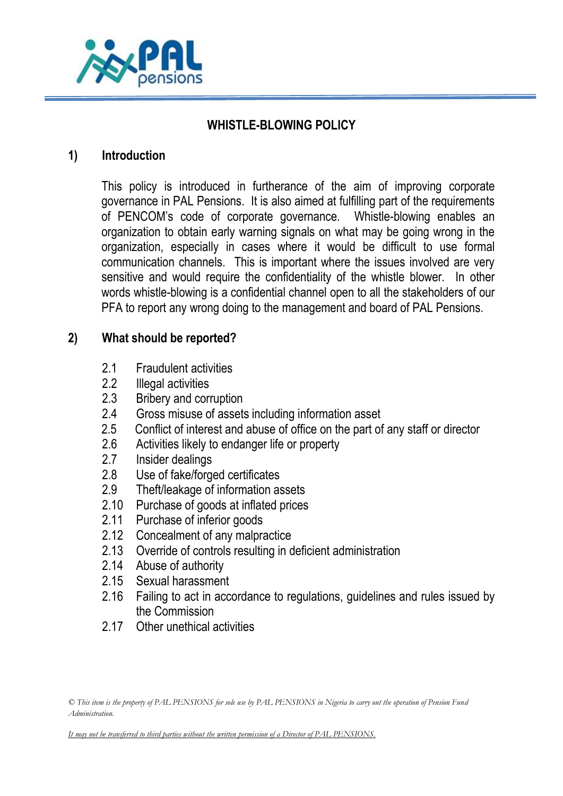

# **WHISTLE-BLOWING POLICY**

#### **1) Introduction**

This policy is introduced in furtherance of the aim of improving corporate governance in PAL Pensions. It is also aimed at fulfilling part of the requirements of PENCOM's code of corporate governance. Whistle-blowing enables an organization to obtain early warning signals on what may be going wrong in the organization, especially in cases where it would be difficult to use formal communication channels. This is important where the issues involved are very sensitive and would require the confidentiality of the whistle blower. In other words whistle-blowing is a confidential channel open to all the stakeholders of our PFA to report any wrong doing to the management and board of PAL Pensions.

# **2) What should be reported?**

- 2.1 Fraudulent activities
- 2.2 Illegal activities
- 2.3 Bribery and corruption
- 2.4 Gross misuse of assets including information asset
- 2.5 Conflict of interest and abuse of office on the part of any staff or director
- 2.6 Activities likely to endanger life or property
- 2.7 Insider dealings
- 2.8 Use of fake/forged certificates
- 2.9 Theft/leakage of information assets
- 2.10 Purchase of goods at inflated prices
- 2.11 Purchase of inferior goods
- 2.12 Concealment of any malpractice
- 2.13 Override of controls resulting in deficient administration
- 2.14 Abuse of authority
- 2.15 Sexual harassment
- 2.16 Failing to act in accordance to regulations, guidelines and rules issued by the Commission
- 2.17 Other unethical activities

*It may not be transferred to third parties without the written permission of a Director of PAL PENSIONS.*

*<sup>©</sup> This item is the property of PAL PENSIONS for sole use by PAL PENSIONS in Nigeria to carry out the operation of Pension Fund Administration.*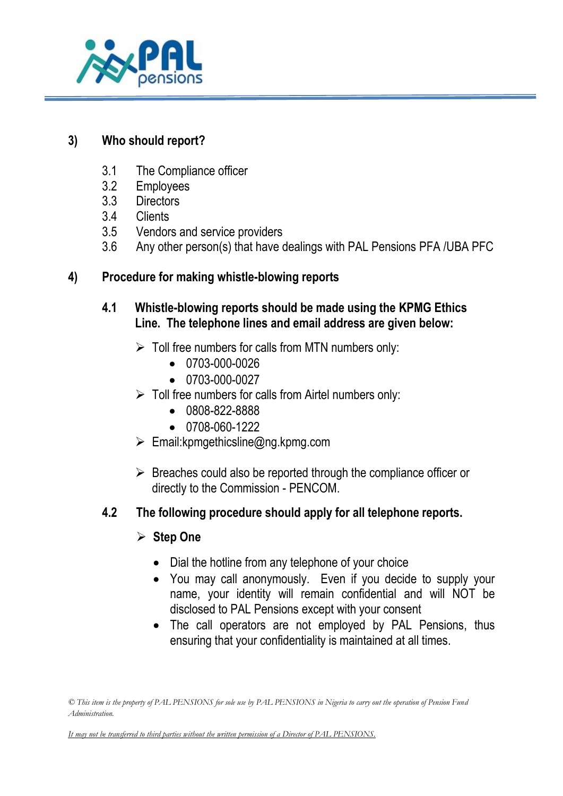

# **3) Who should report?**

- 3.1 The Compliance officer
- 3.2 Employees
- 3.3 Directors
- 3.4 Clients
- 3.5 Vendors and service providers
- 3.6 Any other person(s) that have dealings with PAL Pensions PFA /UBA PFC

# **4) Procedure for making whistle-blowing reports**

# **4.1 Whistle-blowing reports should be made using the KPMG Ethics Line. The telephone lines and email address are given below:**

- $\triangleright$  Toll free numbers for calls from MTN numbers only:
	- 0703-000-0026
	- $\bullet$  0703-000-0027
- $\triangleright$  Toll free numbers for calls from Airtel numbers only:
	- 0808-822-8888
	- $\bullet$  0708-060-1222
- $\triangleright$  Email: kpmgethicsline@ng.kpmg.com
- $\triangleright$  Breaches could also be reported through the compliance officer or directly to the Commission - PENCOM.

# **4.2 The following procedure should apply for all telephone reports.**

- **Step One**
	- Dial the hotline from any telephone of your choice
	- You may call anonymously. Even if you decide to supply your name, your identity will remain confidential and will NOT be disclosed to PAL Pensions except with your consent
	- The call operators are not employed by PAL Pensions, thus ensuring that your confidentiality is maintained at all times.

*It may not be transferred to third parties without the written permission of a Director of PAL PENSIONS.*

*<sup>©</sup> This item is the property of PAL PENSIONS for sole use by PAL PENSIONS in Nigeria to carry out the operation of Pension Fund Administration.*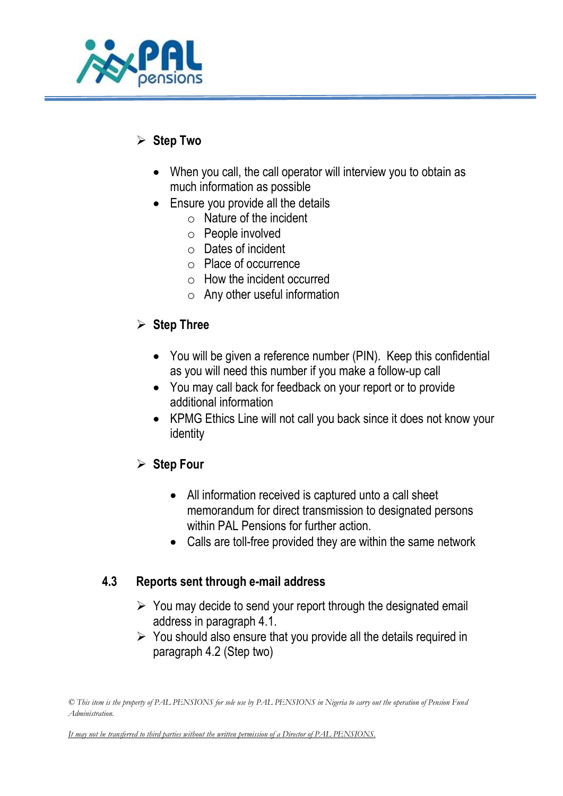

# **Step Two**

- When you call, the call operator will interview you to obtain as much information as possible
- Ensure you provide all the details
	- o Nature of the incident
	- o People involved
	- o Dates of incident
	- o Place of occurrence
	- o How the incident occurred
	- $\circ$  Any other useful information

# **Step Three**

- You will be given a reference number (PIN). Keep this confidential as you will need this number if you make a follow-up call
- You may call back for feedback on your report or to provide additional information
- KPMG Ethics Line will not call you back since it does not know your identity

# **Step Four**

- All information received is captured unto a call sheet memorandum for direct transmission to designated persons within PAL Pensions for further action.
- Calls are toll-free provided they are within the same network

# **4.3 Reports sent through e-mail address**

- $\triangleright$  You may decide to send your report through the designated email address in paragraph 4.1.
- $\triangleright$  You should also ensure that you provide all the details required in paragraph 4.2 (Step two)

*<sup>©</sup> This item is the property of PAL PENSIONS for sole use by PAL PENSIONS in Nigeria to carry out the operation of Pension Fund Administration.* 

*It may not be transferred to third parties without the written permission of a Director of PAL PENSIONS.*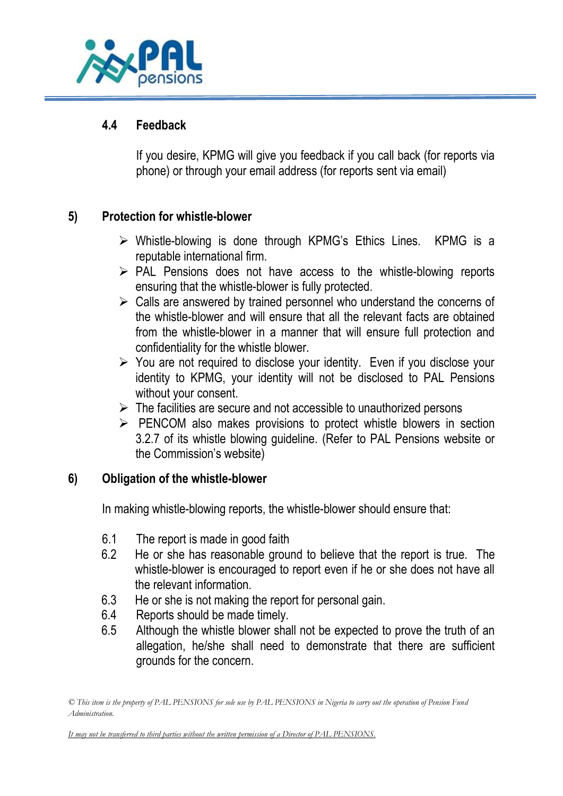

### **4.4 Feedback**

If you desire, KPMG will give you feedback if you call back (for reports via phone) or through your email address (for reports sent via email)

# **5) Protection for whistle-blower**

- $\triangleright$  Whistle-blowing is done through KPMG's Ethics Lines. KPMG is a reputable international firm.
- $\triangleright$  PAL Pensions does not have access to the whistle-blowing reports ensuring that the whistle-blower is fully protected.
- $\triangleright$  Calls are answered by trained personnel who understand the concerns of the whistle-blower and will ensure that all the relevant facts are obtained from the whistle-blower in a manner that will ensure full protection and confidentiality for the whistle blower.
- $\triangleright$  You are not required to disclose your identity. Even if you disclose your identity to KPMG, your identity will not be disclosed to PAL Pensions without your consent.
- $\triangleright$  The facilities are secure and not accessible to unauthorized persons
- $\triangleright$  PENCOM also makes provisions to protect whistle blowers in section 3.2.7 of its whistle blowing guideline. (Refer to PAL Pensions website or the Commission's website)

#### **6) Obligation of the whistle-blower**

In making whistle-blowing reports, the whistle-blower should ensure that:

- 6.1 The report is made in good faith
- 6.2 He or she has reasonable ground to believe that the report is true. The whistle-blower is encouraged to report even if he or she does not have all the relevant information.
- 6.3 He or she is not making the report for personal gain.
- 6.4 Reports should be made timely.
- 6.5 Although the whistle blower shall not be expected to prove the truth of an allegation, he/she shall need to demonstrate that there are sufficient grounds for the concern.

*© This item is the property of PAL PENSIONS for sole use by PAL PENSIONS in Nigeria to carry out the operation of Pension Fund Administration.* 

*It may not be transferred to third parties without the written permission of a Director of PAL PENSIONS.*